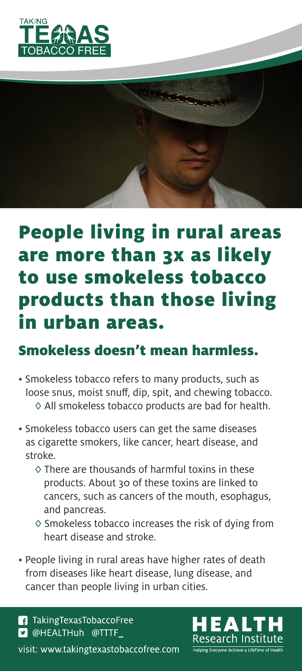



# People living in rural areas are more than 3x as likely to use smokeless tobacco products than those living in urban areas.

### Smokeless doesn't mean harmless.

- Smokeless tobacco refers to many products, such as loose snus, moist snuff, dip, spit, and chewing tobacco. ◊ All smokeless tobacco products are bad for health.
- Smokeless tobacco users can get the same diseases as cigarette smokers, like cancer, heart disease, and stroke.
	- ◊ There are thousands of harmful toxins in these products. About 30 of these toxins are linked to cancers, such as cancers of the mouth, esophagus, and pancreas.
	- ◊ Smokeless tobacco increases the risk of dying from heart disease and stroke.
- People living in rural areas have higher rates of death from diseases like heart disease, lung disease, and cancer than people living in urban cities.